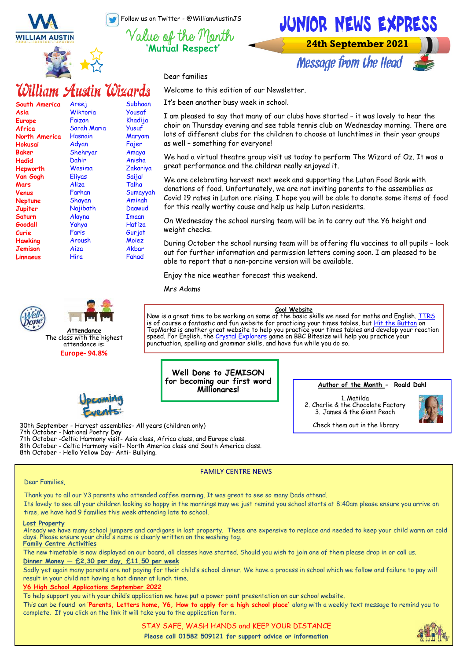Follow us on Twitter - @WilliamAustinJS

**'Mutual Respect'**



Dear families

Subhaan Yousaf Khadija Yusuf Maryam Fajer Amaya Anisha Zakariya Saijal Talha Sumayyah Aminah Daawud Imaan Hafiza Gurjot Moiez **Akhar** Fahad

Welcome to this edition of our Newsletter.

It's been another busy week in school.

I am pleased to say that many of our clubs have started – it was lovely to hear the choir on Thursday evening and see table tennis club on Wednesday morning. There are lots of different clubs for the children to choose at lunchtimes in their year groups as well – something for everyone!

We had a virtual theatre group visit us today to perform The Wizard of Oz. It was a great performance and the children really enjoyed it.

We are celebrating harvest next week and supporting the Luton Food Bank with donations of food. Unfortunately, we are not inviting parents to the assemblies as Covid 19 rates in Luton are rising. I hope you will be able to donate some items of food for this really worthy cause and help us help Luton residents.

On Wednesday the school nursing team will be in to carry out the Y6 height and weight checks.

During October the school nursing team will be offering flu vaccines to all pupils – look out for further information and permission letters coming soon. I am pleased to be able to report that a non-porcine version will be available.

Enjoy the nice weather forecast this weekend.

Mrs Adams

**Cool Website**

Now is a great time to be working on some of the basic skills we need for maths and English. [TTRS](https://play.ttrockstars.com/login/13727) is of course a fantastic and fun website for practicing your times tables, but [Hit the Button o](https://www.topmarks.co.uk/maths-games/hit-the-button)n TopMarks is another great website to help you practice your times tables and develop your reaction speed. For English, the [Crystal Explorers g](https://www.bbc.co.uk/bitesize/topics/zkbkf4j/articles/zbm8scw)ame on BBC Bitesize will help you practice your punctuation, spelling and grammar skills, and have fun while you do so.

**Well Done to JEMISON for becoming our first word Millionares!**

**Author of the Month - Roald Dahl**

1. Matilda 2. Charlie & the Chocolate Factory 3. James & the Giant Peach



Check them out in the library

# 30th September - Harvest assemblies- All years (children only) 7th October - National Poetry Day 7th October -Celtic Harmony visit- Asia class, Africa class, and Europe class.

8th October - Celtic Harmony visit- North America class and South America class. 8th October - Hello Yellow Day- Anti- Bullying.

## FAMILY CENTRE NEWS

#### Dear Families,

**South America**

**WILLIAM AUSTIN** 

Areej **Wiktoria** Faizan Sarah Maria **Hasnain** Adyan Shehryar Dahir Wasima Eliyas Aliza Farhan Shayan **Najibath** Alayna Yahya Faris Aroush Aiza Hira

William Austin Wizards

**Asia Europe Africa North America Hokusai Baker Hadid Hepworth Van Gogh Mars Venus Neptune Jupiter Saturn Goodall Curie Hawking Jemison Linnaeus** 

Thank you to all our Y3 parents who attended coffee morning. It was great to see so many Dads attend.

Its lovely to see all your children looking so happy in the mornings may we just remind you school starts at 8:40am please ensure you arrive on time, we have had 9 families this week attending late to school.

#### **Lost Property**

Already we have many school jumpers and cardigans in lost property. These are expensive to replace and needed to keep your child warm on cold days. Please ensure your child's name is clearly written on the washing tag. **Family Centre Activities**

The new timetable is now displayed on our board, all classes have started. Should you wish to join one of them please drop in or call us.

# **Dinner Money — £2.30 per day, £11.50 per week**

Sadly yet again many parents are not paying for their child's school dinner. We have a process in school which we follow and failure to pay will result in your child not having a hot dinner at lunch time.

# **Y6 High School Applications September 2022**

**Attendance** The class with the highest attendance is: **Europe- 94.8%**

To help support you with your child's application we have put a power point presentation on our school website.

This can be found on **'Parents, Letters home, Y6, How to apply for a high school place'** along with a weekly text message to remind you to complete. If you click on the link it will take you to the application form.



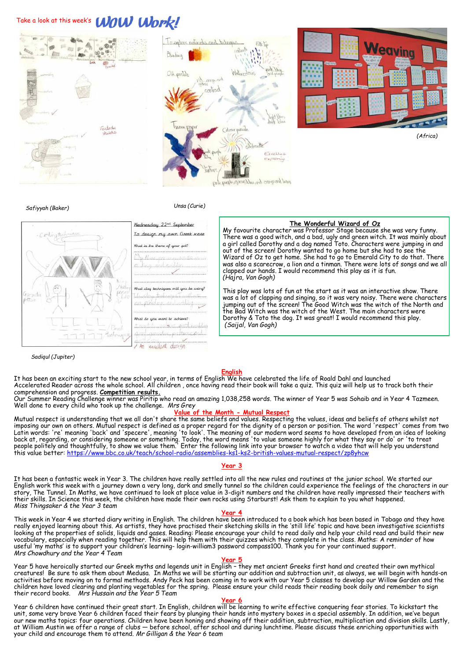# Take a look at this week's **WOW Work!**



*Safiyyah (Baker)*

 *Unsa (Curie)*

#### **The Wonderful Wizard of Oz** Wednesday 22<sup>nd</sup> September My favourite character was Professor Stage because she was very funny. To design my own Greek wase There was a good witch, and a bad, ugly and green witch. It was mainly about a girl called Dorothy and a dog named Toto. Characters were jumping in and What is the theme of your pal? out of the screen! Dorothy wanted to go home but she had to see the Wizard of Oz to get home. She had to go to Emerald City to do that. There was also a scarecrow, a lion and a tinman. There were lots of songs and we all clapped our hands. I would recommend this play as it is fun. *(Hajra, Van Gogh)* techniques will you be This play was lots of fun at the start as it was an interactive show. There was a lot of clapping and singing, so it was very noisy. There were characters jumping out of the screen! The Good Witch was the witch of the North and the Bad Witch was the witch of the West. The main characters were What do you want to achieve! Dorothy & Toto the dog. It was great! I would recommend this play. *(Saijal, Van Gogh)*excellent design  $\sqrt{m}$

#### *Sadiqul (Jupiter)*

#### **English**

It has been an exciting start to the new school year, in terms of English We have celebrated the life of Roald Dahl and launched Accelerated Reader across the whole school. All children , once having read their book will take a quiz. This quiz will help us to track both their comprehension and progress. **Competition results.**

Our Summer Reading Challenge winner was Piritip who read an amazing 1,038,258 words. The winner of Year 5 was Sohaib and in Year 4 Tazmeen. Well done to every child who took up the challenge. *Mrs Grey*

#### **Value of the Month - Mutual Respect**

Mutual respect is understanding that we all don't share the same beliefs and values. Respecting the values, ideas and beliefs of others whilst not imposing our own on others. Mutual respect is defined as a proper regard for the dignity of a person or position. The word 'respect' comes from two Latin words: 're' meaning 'back' and 'specere', meaning 'to look'. The meaning of our modern word seems to have developed from an idea of looking back at, regarding, or considering someone or something. Today, the word means 'to value someone highly for what they say or do' or 'to treat people politely and thoughtfully, to show we value them." Enter the following link into your browser to watch a video that will help you understand<br>this value better: <u>[https://www.bbc.co.uk/teach/school](https://www.bbc.co.uk/teach/school-radio/assemblies-ks1-ks2-british-values-mutual-respect/zp8yhcw)-radio/assemblies-ks</u>

### **Year 3**

It has been a fantastic week in Year 3. The children have really settled into all the new rules and routines at the junior school. We started our English work this week with a journey down a very long, dark and smelly tunnel so the children could experience the feelings of the characters in our story, The Tunnel. In Maths, we have continued to look at place value in 3-digit numbers and the children have really impressed their teachers with their skills. In Science this week, the children have made their own rocks using Starburst! Ask them to explain to you what happened. *Miss Thingsaker & the Year 3 team*

#### **Year 4**

This week in Year 4 we started diary writing in English. The children have been introduced to a book which has been based in Tobago and they have really enjoyed learning about this. As artists, they have practised their sketching skills in the 'still life' topic and have been investigative scientists looking at the properties of solids, liquids and gases. Reading: Please encourage your child to read daily and help your child read and build their new vocabulary, especially when reading together. This will help them with their quizzes which they complete in the class. Maths: A reminder of how<br>useful 'my maths' is to support your children's learning- login-william3 passw *Mrs Chowdhury and the Year 4 Team*

#### **Year 5**

Year 5 have heroically started our Greek myths and legends unit in English – they met ancient Greeks first hand and created their own mythical<br>creatures! Be sure to ask them about Medusa. In Maths we will be starting our a activities before moving on to formal methods. Andy Peck has been coming in to work with our Year 5 classes to develop our Willow Garden and the children have loved clearing and planting vegetables for the spring. Please ensure your child reads their reading book daily and remember to sign their record books. *Mrs Hussain and the Year 5 Team*

#### **Year 6**

Year 6 children have continued their great start. In English, children will be learning to write effective conquering fear stories. To kickstart the unit, some very brave Year 6 children faced their fears by plunging their hands into mystery boxes in a special assembly. In addition, we've begun our new maths topics: four operations. Children have been honing and showing off their addition, subtraction, multiplication and division skills. Lastly, at William Austin we offer a range of clubs — before school, after school and during lunchtime. Please discuss these enriching opportunities with your child and encourage them to attend. *Mr Gilligan & the Year 6 team*